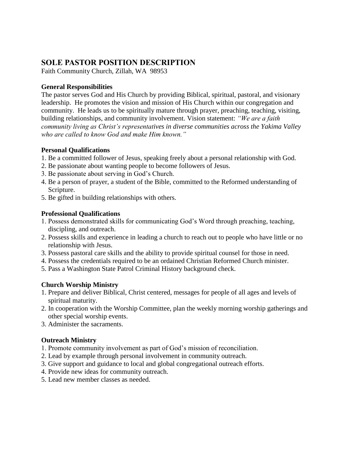# **SOLE PASTOR POSITION DESCRIPTION**

Faith Community Church, Zillah, WA 98953

### **General Responsibilities**

The pastor serves God and His Church by providing Biblical, spiritual, pastoral, and visionary leadership. He promotes the vision and mission of His Church within our congregation and community. He leads us to be spiritually mature through prayer, preaching, teaching, visiting, building relationships, and community involvement. Vision statement: *"We are a faith community living as Christ's representatives in diverse communities across the Yakima Valley who are called to know God and make Him known."*

### **Personal Qualifications**

- 1. Be a committed follower of Jesus, speaking freely about a personal relationship with God.
- 2. Be passionate about wanting people to become followers of Jesus.
- 3. Be passionate about serving in God's Church.
- 4. Be a person of prayer, a student of the Bible, committed to the Reformed understanding of Scripture.
- 5. Be gifted in building relationships with others.

## **Professional Qualifications**

- 1. Possess demonstrated skills for communicating God's Word through preaching, teaching, discipling, and outreach.
- 2. Possess skills and experience in leading a church to reach out to people who have little or no relationship with Jesus.
- 3. Possess pastoral care skills and the ability to provide spiritual counsel for those in need.
- 4. Possess the credentials required to be an ordained Christian Reformed Church minister.
- 5. Pass a Washington State Patrol Criminal History background check.

## **Church Worship Ministry**

- 1. Prepare and deliver Biblical, Christ centered, messages for people of all ages and levels of spiritual maturity.
- 2. In cooperation with the Worship Committee, plan the weekly morning worship gatherings and other special worship events.
- 3. Administer the sacraments.

## **Outreach Ministry**

- 1. Promote community involvement as part of God's mission of reconciliation.
- 2. Lead by example through personal involvement in community outreach.
- 3. Give support and guidance to local and global congregational outreach efforts.
- 4. Provide new ideas for community outreach.
- 5. Lead new member classes as needed.